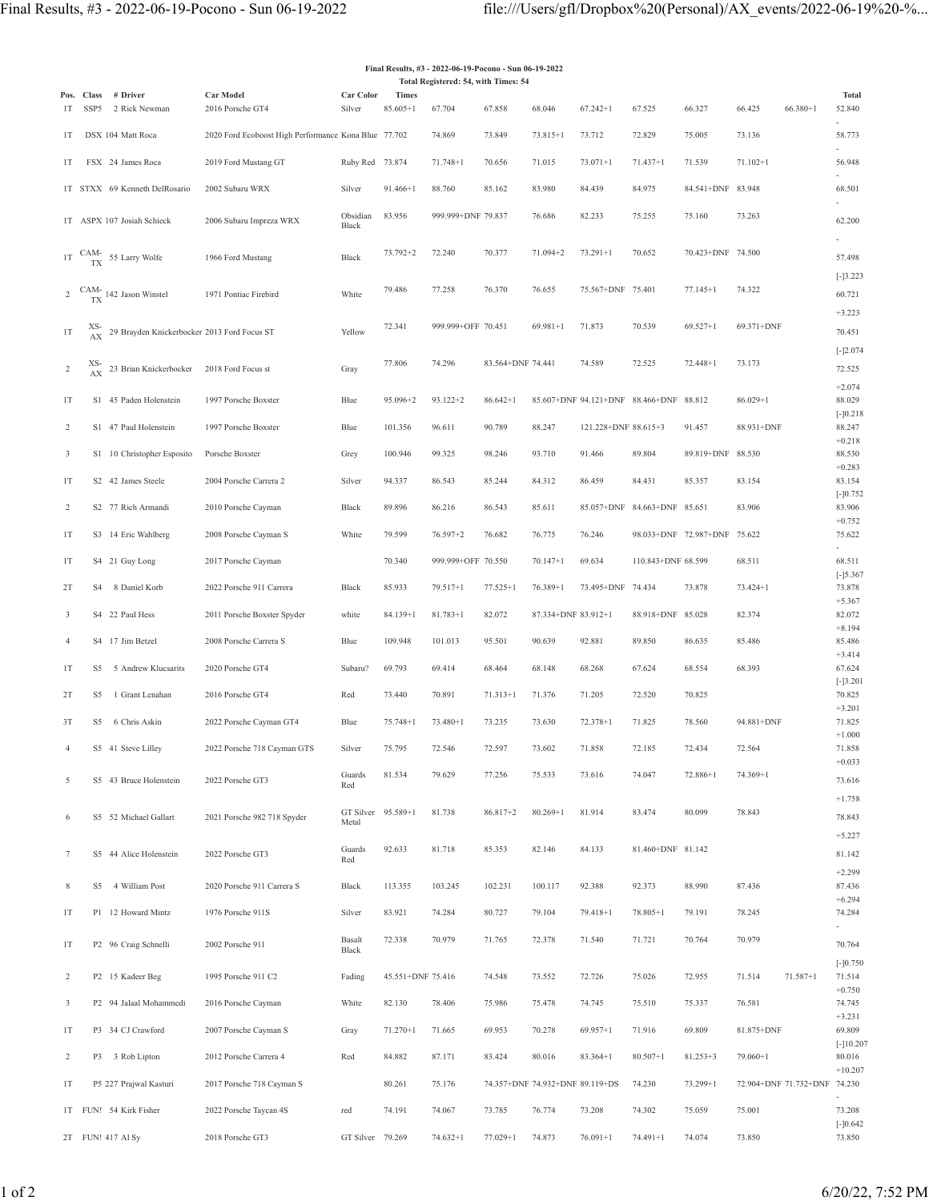| Final Results, #3 - 2022-06-19-Pocono - Sun 06-19-2022 |           |                                                |                                                      |                             |                   |                                      |                   |                                 |                                         |                              |                   |              |                              |                       |
|--------------------------------------------------------|-----------|------------------------------------------------|------------------------------------------------------|-----------------------------|-------------------|--------------------------------------|-------------------|---------------------------------|-----------------------------------------|------------------------------|-------------------|--------------|------------------------------|-----------------------|
|                                                        |           | Pos. Class # Driver                            | Car Model                                            | Car Color                   | <b>Times</b>      | Total Registered: 54, with Times: 54 |                   |                                 |                                         |                              |                   |              |                              | Total                 |
| 1T                                                     | SSP5      | 2 Rick Newman                                  | 2016 Porsche GT4                                     | Silver                      | $85.605 + 1$      | 67.704                               | 67.858            | 68.046                          | $67.242 + 1$                            | 67.525                       | 66.327            | 66.425       | $66.380 + 1$                 | 52.840                |
| 1T                                                     |           | DSX 104 Matt Roca                              | 2020 Ford Ecoboost High Performance Kona Blue 77.702 |                             |                   | 74.869                               | 73.849            | 73.815+1                        | 73.712                                  | 72.829                       | 75.005            | 73.136       |                              | 58.773                |
| 1T                                                     |           | FSX 24 James Roca                              | 2019 Ford Mustang GT                                 | Ruby Red 73.874             |                   | 71.748+1                             | 70.656            | 71.015                          | $73.071 + 1$                            | $71.437 + 1$                 | 71.539            | $71.102 + 1$ |                              | 56.948                |
|                                                        |           | 1T STXX 69 Kenneth DelRosario                  | 2002 Subaru WRX                                      | Silver                      | $91.466 + 1$      | 88.760                               | 85.162            | 83.980                          | 84.439                                  | 84.975                       | 84.541+DNF 83.948 |              |                              | 68.501                |
|                                                        |           | 1T ASPX 107 Josiah Schieck                     | 2006 Subaru Impreza WRX                              | Obsidian<br>Black           | 83.956            | 999.999+DNF 79.837                   |                   | 76.686                          | 82.233                                  | 75.255                       | 75.160            | 73.263       |                              | 62.200                |
|                                                        |           | 1T $\frac{CAM}{TX}$ 55 Larry Wolfe             | 1966 Ford Mustang                                    | Black                       | 73.792+2          | 72.240                               | 70.377            | 71.094+2                        | $73.291 + 1$                            | 70.652                       | 70.423+DNF 74.500 |              |                              | 57.498<br>$[-]3.223$  |
|                                                        |           | 2 $\frac{CAM}{TX}$ 142 Jason Winstel           | 1971 Pontiac Firebird                                | White                       | 79.486            | 77.258                               | 76.370            | 76.655                          | 75.567+DNF 75.401                       |                              | $77.145 + 1$      | 74.322       |                              | 60.721<br>$+3.223$    |
| 1T                                                     |           | XS-29 Brayden Knickerbocker 2013 Ford Focus ST |                                                      | Yellow                      | 72.341            | 999.999+OFF 70.451                   |                   | $69.981 + 1$                    | 71.873                                  | 70.539                       | $69.527 + 1$      | 69.371+DNF   |                              | 70.451<br>$[-]2.074$  |
| $\,2$                                                  | XS-<br>AX | 23 Brian Knickerbocker 2018 Ford Focus st      |                                                      | Gray                        | 77.806            | 74.296                               | 83.564+DNF 74.441 |                                 | 74.589                                  | 72.525                       | 72.448+1          | 73.173       |                              | 72.525<br>$+2.074$    |
| 1T                                                     |           | S1 45 Paden Holenstein                         | 1997 Porsche Boxster                                 | Blue                        | 95.096+2          | $93.122 + 2$                         | $86.642 + 1$      |                                 | 85.607+DNF 94.121+DNF 88.466+DNF 88.812 |                              |                   | $86.029 + 1$ |                              | 88.029<br>$[-]0.218$  |
| $\overline{c}$                                         |           | S1 47 Paul Holenstein                          | 1997 Porsche Boxster                                 | Blue                        | 101.356           | 96.611                               | 90.789            | 88.247                          | 121.228+DNF 88.615+3                    |                              | 91.457            | 88.931+DNF   |                              | 88.247<br>$+0.218$    |
| 3                                                      |           | S1 10 Christopher Esposito                     | Porsche Boxster                                      | Grey                        | 100.946           | 99.325                               | 98.246            | 93.710                          | 91.466                                  | 89.804                       | 89.819+DNF 88.530 |              |                              | 88.530<br>$+0.283$    |
| 1T                                                     |           | S2 42 James Steele                             | 2004 Porsche Carrera 2                               | Silver                      | 94.337            | 86.543                               | 85.244            | 84.312                          | 86.459                                  | 84.431                       | 85.357            | 83.154       |                              | 83.154<br>$[-]0.752$  |
| 2                                                      |           | S2 77 Rich Armandi                             | 2010 Porsche Cayman                                  | Black                       | 89.896            | 86.216                               | 86.543            | 85.611                          |                                         | 85.057+DNF 84.663+DNF 85.651 |                   | 83.906       |                              | 83.906<br>$+0.752$    |
| 1T                                                     |           | S3 14 Eric Wahlberg                            | 2008 Porsche Cayman S                                | White                       | 79.599            | $76.597 + 2$                         | 76.682            | 76.775                          | 76.246                                  | 98.033+DNF 72.987+DNF 75.622 |                   |              |                              | 75.622                |
| 1T                                                     |           | S4 21 Guy Long                                 | 2017 Porsche Cayman                                  |                             | 70.340            | 999.999+OFF 70.550                   |                   | $70.147 + 1$                    | 69.634                                  | 110.843+DNF 68.599           |                   | 68.511       |                              | 68.511<br>$[-]5.367$  |
| 2T                                                     | S4        | 8 Daniel Korb                                  | 2022 Porsche 911 Carrera                             | Black                       | 85.933            | $79.517 + 1$                         | $77.525 + 1$      | $76.389 + 1$                    | 73.495+DNF 74.434                       |                              | 73.878            | $73.424 + 1$ |                              | 73.878<br>$+5.367$    |
| 3                                                      |           | S4 22 Paul Hess                                | 2011 Porsche Boxster Spyder                          | white                       | 84.139+1          | $81.783 + 1$                         | 82.072            | 87.334+DNF 83.912+1             |                                         | 88.918+DNF 85.028            |                   | 82.374       |                              | 82.072<br>$+8.194$    |
| 4                                                      |           | S4 17 Jim Betzel                               | 2008 Porsche Carrera S                               | Blue                        | 109.948           | 101.013                              | 95.501            | 90.639                          | 92.881                                  | 89.850                       | 86.635            | 85.486       |                              | 85.486<br>$+3.414$    |
| 1T                                                     | S5        | 5 Andrew Klucsarits                            | 2020 Porsche GT4                                     | Subaru?                     | 69.793            | 69.414                               | 68.464            | 68.148                          | 68.268                                  | 67.624                       | 68.554            | 68.393       |                              | 67.624<br>$[-]3.201$  |
| 2T                                                     | S5        | 1 Grant Lenahan                                | 2016 Porsche GT4                                     | Red                         | 73.440            | 70.891                               | $71.313 + 1$      | 71.376                          | 71.205                                  | 72.520                       | 70.825            |              |                              | 70.825<br>$+3.201$    |
| 3T                                                     | S5        | 6 Chris Askin                                  | 2022 Porsche Cayman GT4                              | Blue                        | $75.748 + 1$      | $73.480 + 1$                         | 73.235            | 73.630                          | 72.378+1                                | 71.825                       | 78.560            | 94.881+DNF   |                              | 71.825<br>$+1.000$    |
| 4                                                      |           | S5 41 Steve Lilley                             | 2022 Porsche 718 Cayman GTS                          | Silver                      | 75.795            | 72.546                               | 72.597            | 73.602                          | 71.858                                  | 72.185                       | 72.434            | 72.564       |                              | 71.858<br>$+0.033$    |
| 5                                                      |           | S5 43 Bruce Holenstein                         | 2022 Porsche GT3                                     | Guards<br>Red               | 81.534            | 79.629                               | 77.256            | 75.533                          | 73.616                                  | 74.047                       | 72.886+1          | $74.369 + 1$ |                              | 73.616<br>$+1.758$    |
| 6                                                      |           | S5 52 Michael Gallart                          | 2021 Porsche 982 718 Spyder                          | GT Silver 95.589+1<br>Metal |                   | 81.738                               | 86.817+2          | $80.269 + 1$                    | 81.914                                  | 83.474                       | 80.099            | 78.843       |                              | 78.843<br>$+5.227$    |
| 7                                                      |           | S5 44 Alice Holenstein                         | 2022 Porsche GT3                                     | Guards<br>Red               | 92.633            | 81.718                               | 85.353            | 82.146                          | 84.133                                  | 81.460+DNF 81.142            |                   |              |                              | 81.142                |
| 8                                                      |           | S5 4 William Post                              | 2020 Porsche 911 Carrera S                           | Black                       | 113.355           | 103.245                              | 102.231           | 100.117                         | 92.388                                  | 92.373                       | 88.990            | 87.436       |                              | $+2.299$<br>87.436    |
| 1T                                                     |           | P1 12 Howard Mintz                             | 1976 Porsche 911S                                    | Silver                      | 83.921            | 74.284                               | 80.727            | 79.104                          | $79.418 + 1$                            | 78.805+1                     | 79.191            | 78.245       |                              | $+6.294$<br>74.284    |
| 1T                                                     |           | P2 96 Craig Schnelli                           | 2002 Porsche 911                                     | Basalt<br>Black             | 72.338            | 70.979                               | 71.765            | 72.378                          | 71.540                                  | 71.721                       | 70.764            | 70.979       |                              | 70.764<br>$[-]0.750$  |
| 2                                                      |           | P2 15 Kadeer Beg                               | 1995 Porsche 911 C2                                  | Fading                      | 45.551+DNF 75.416 |                                      | 74.548            | 73.552                          | 72.726                                  | 75.026                       | 72.955            | 71.514       | 71.587+1                     | 71.514<br>$+0.750$    |
| $\mathbf{3}$                                           |           | P2 94 Jalaal Mohammedi                         | 2016 Porsche Cayman                                  | White                       | 82.130            | 78.406                               | 75.986            | 75.478                          | 74.745                                  | 75.510                       | 75.337            | 76.581       |                              | 74.745<br>$+3.231$    |
| 1T                                                     |           | P3 34 CJ Crawford                              | 2007 Porsche Cayman S                                | Gray                        | 71.270+1          | 71.665                               | 69.953            | 70.278                          | $69.957 + 1$                            | 71.916                       | 69.809            | 81.875+DNF   |                              | 69.809<br>$[-]10.207$ |
| 2                                                      |           | P3 3 Rob Lipton                                | 2012 Porsche Carrera 4                               | Red                         | 84.882            | 87.171                               | 83.424            | 80.016                          | 83.364+1                                | $80.507 + 1$                 | $81.253 + 3$      | $79.060 + 1$ |                              | 80.016<br>$+10.207$   |
| 1T                                                     |           | P5 227 Prajwal Kasturi                         | 2017 Porsche 718 Cayman S                            |                             | 80.261            | 75.176                               |                   | 74.357+DNF 74.932+DNF 89.119+DS |                                         | 74.230                       | 73.299+1          |              | 72.904+DNF 71.732+DNF 74.230 |                       |
|                                                        |           | 1T FUN! 54 Kirk Fisher                         | 2022 Porsche Taycan 4S                               | red                         | 74.191            | 74.067                               | 73.785            | 76.774                          | 73.208                                  | 74.302                       | 75.059            | 75.001       |                              | 73.208<br>$[-]0.642$  |
|                                                        |           | 2T FUN! 417 Al Sy                              | 2018 Porsche GT3                                     | GT Silver 79.269            |                   | $74.632 + 1$                         | 77.029+1          | 74.873                          | $76.091 + 1$                            | $74.491 + 1$                 | 74.074            | 73.850       |                              | 73.850                |